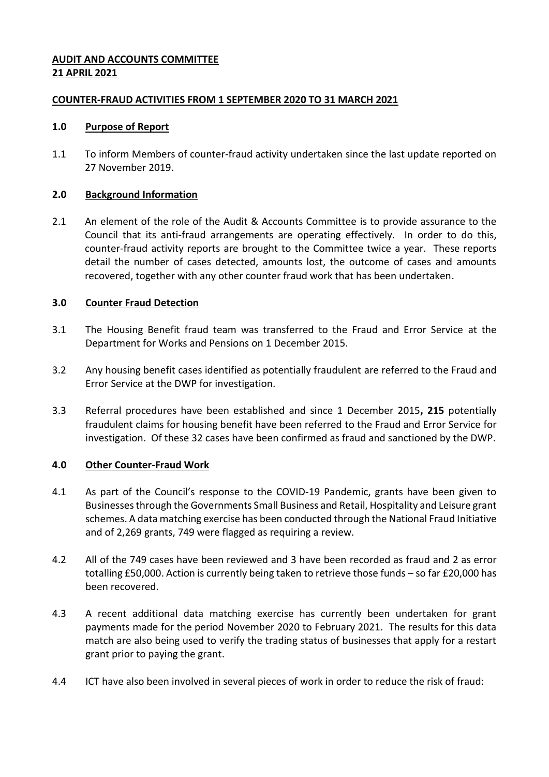# **AUDIT AND ACCOUNTS COMMITTEE 21 APRIL 2021**

### **COUNTER-FRAUD ACTIVITIES FROM 1 SEPTEMBER 2020 TO 31 MARCH 2021**

### **1.0 Purpose of Report**

1.1 To inform Members of counter-fraud activity undertaken since the last update reported on 27 November 2019.

### **2.0 Background Information**

2.1 An element of the role of the Audit & Accounts Committee is to provide assurance to the Council that its anti-fraud arrangements are operating effectively. In order to do this, counter-fraud activity reports are brought to the Committee twice a year. These reports detail the number of cases detected, amounts lost, the outcome of cases and amounts recovered, together with any other counter fraud work that has been undertaken.

### **3.0 Counter Fraud Detection**

- 3.1 The Housing Benefit fraud team was transferred to the Fraud and Error Service at the Department for Works and Pensions on 1 December 2015.
- 3.2 Any housing benefit cases identified as potentially fraudulent are referred to the Fraud and Error Service at the DWP for investigation.
- 3.3 Referral procedures have been established and since 1 December 2015**, 215** potentially fraudulent claims for housing benefit have been referred to the Fraud and Error Service for investigation. Of these 32 cases have been confirmed as fraud and sanctioned by the DWP.

### **4.0 Other Counter-Fraud Work**

- 4.1 As part of the Council's response to the COVID-19 Pandemic, grants have been given to Businesses through the Governments Small Business and Retail, Hospitality and Leisure grant schemes. A data matching exercise has been conducted through the National Fraud Initiative and of 2,269 grants, 749 were flagged as requiring a review.
- 4.2 All of the 749 cases have been reviewed and 3 have been recorded as fraud and 2 as error totalling £50,000. Action is currently being taken to retrieve those funds – so far £20,000 has been recovered.
- 4.3 A recent additional data matching exercise has currently been undertaken for grant payments made for the period November 2020 to February 2021. The results for this data match are also being used to verify the trading status of businesses that apply for a restart grant prior to paying the grant.
- 4.4 ICT have also been involved in several pieces of work in order to reduce the risk of fraud: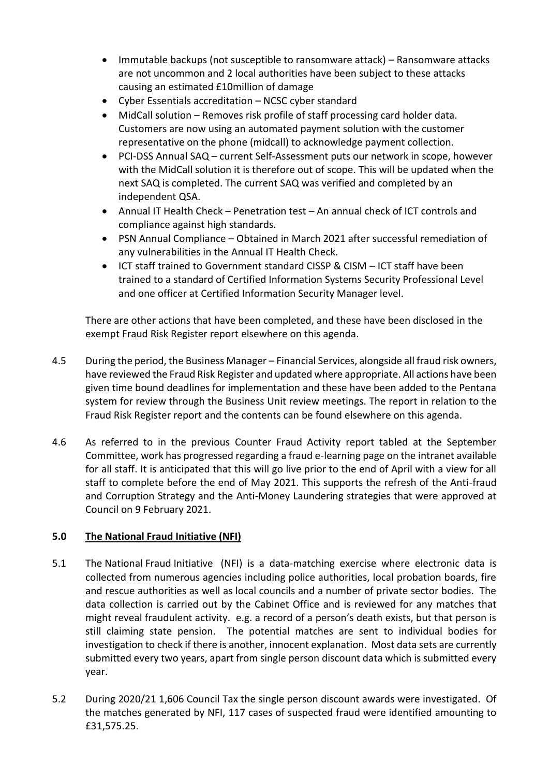- Immutable backups (not susceptible to ransomware attack) Ransomware attacks are not uncommon and 2 local authorities have been subject to these attacks causing an estimated £10million of damage
- Cyber Essentials accreditation NCSC cyber standard
- MidCall solution Removes risk profile of staff processing card holder data. Customers are now using an automated payment solution with the customer representative on the phone (midcall) to acknowledge payment collection.
- PCI-DSS Annual SAQ current Self-Assessment puts our network in scope, however with the MidCall solution it is therefore out of scope. This will be updated when the next SAQ is completed. The current SAQ was verified and completed by an independent QSA.
- Annual IT Health Check Penetration test An annual check of ICT controls and compliance against high standards.
- PSN Annual Compliance Obtained in March 2021 after successful remediation of any vulnerabilities in the Annual IT Health Check.
- ICT staff trained to Government standard CISSP & CISM ICT staff have been trained to a standard of Certified Information Systems Security Professional Level and one officer at Certified Information Security Manager level.

There are other actions that have been completed, and these have been disclosed in the exempt Fraud Risk Register report elsewhere on this agenda.

- 4.5 During the period, the Business Manager Financial Services, alongside all fraud risk owners, have reviewed the Fraud Risk Register and updated where appropriate. All actions have been given time bound deadlines for implementation and these have been added to the Pentana system for review through the Business Unit review meetings. The report in relation to the Fraud Risk Register report and the contents can be found elsewhere on this agenda.
- 4.6 As referred to in the previous Counter Fraud Activity report tabled at the September Committee, work has progressed regarding a fraud e-learning page on the intranet available for all staff. It is anticipated that this will go live prior to the end of April with a view for all staff to complete before the end of May 2021. This supports the refresh of the Anti-fraud and Corruption Strategy and the Anti-Money Laundering strategies that were approved at Council on 9 February 2021.

# **5.0 The National Fraud Initiative (NFI)**

- 5.1 The National Fraud Initiative (NFI) is a data-matching exercise where electronic data is collected from numerous agencies including police authorities, local probation boards, fire and rescue authorities as well as local councils and a number of private sector bodies. The data collection is carried out by the Cabinet Office and is reviewed for any matches that might reveal fraudulent activity. e.g. a record of a person's death exists, but that person is still claiming state pension. The potential matches are sent to individual bodies for investigation to check if there is another, innocent explanation. Most data sets are currently submitted every two years, apart from single person discount data which is submitted every year.
- 5.2 During 2020/21 1,606 Council Tax the single person discount awards were investigated. Of the matches generated by NFI, 117 cases of suspected fraud were identified amounting to £31,575.25.